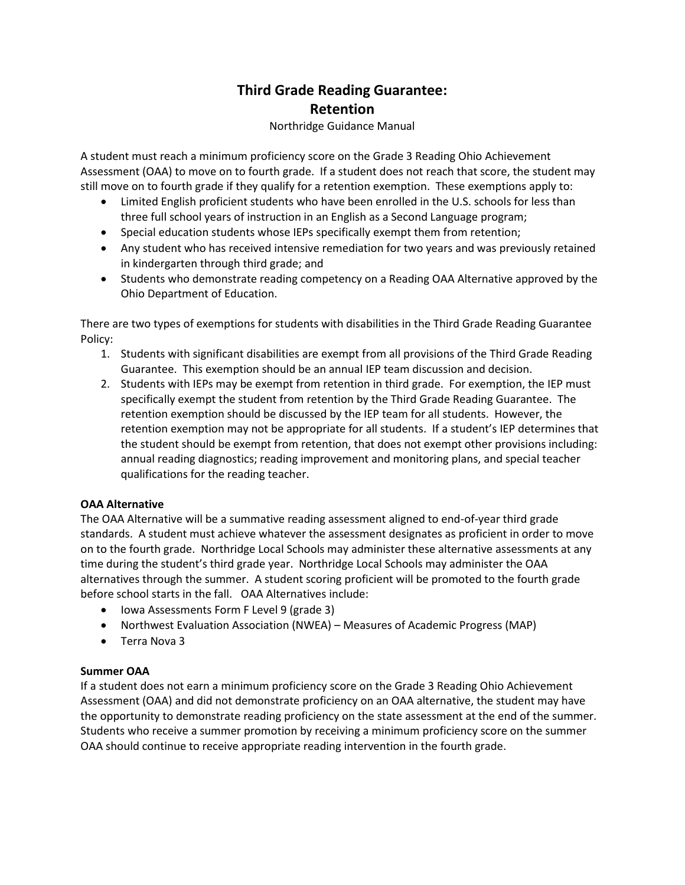# **Third Grade Reading Guarantee: Retention**

## Northridge Guidance Manual

A student must reach a minimum proficiency score on the Grade 3 Reading Ohio Achievement Assessment (OAA) to move on to fourth grade. If a student does not reach that score, the student may still move on to fourth grade if they qualify for a retention exemption. These exemptions apply to:

- Limited English proficient students who have been enrolled in the U.S. schools for less than three full school years of instruction in an English as a Second Language program;
- Special education students whose IEPs specifically exempt them from retention;
- Any student who has received intensive remediation for two years and was previously retained in kindergarten through third grade; and
- Students who demonstrate reading competency on a Reading OAA Alternative approved by the Ohio Department of Education.

There are two types of exemptions for students with disabilities in the Third Grade Reading Guarantee Policy:

- 1. Students with significant disabilities are exempt from all provisions of the Third Grade Reading Guarantee. This exemption should be an annual IEP team discussion and decision.
- 2. Students with IEPs may be exempt from retention in third grade. For exemption, the IEP must specifically exempt the student from retention by the Third Grade Reading Guarantee. The retention exemption should be discussed by the IEP team for all students. However, the retention exemption may not be appropriate for all students. If a student's IEP determines that the student should be exempt from retention, that does not exempt other provisions including: annual reading diagnostics; reading improvement and monitoring plans, and special teacher qualifications for the reading teacher.

## **OAA Alternative**

The OAA Alternative will be a summative reading assessment aligned to end-of-year third grade standards. A student must achieve whatever the assessment designates as proficient in order to move on to the fourth grade. Northridge Local Schools may administer these alternative assessments at any time during the student's third grade year. Northridge Local Schools may administer the OAA alternatives through the summer. A student scoring proficient will be promoted to the fourth grade before school starts in the fall. OAA Alternatives include:

- Iowa Assessments Form F Level 9 (grade 3)
- Northwest Evaluation Association (NWEA) Measures of Academic Progress (MAP)
- Terra Nova 3

## **Summer OAA**

If a student does not earn a minimum proficiency score on the Grade 3 Reading Ohio Achievement Assessment (OAA) and did not demonstrate proficiency on an OAA alternative, the student may have the opportunity to demonstrate reading proficiency on the state assessment at the end of the summer. Students who receive a summer promotion by receiving a minimum proficiency score on the summer OAA should continue to receive appropriate reading intervention in the fourth grade.